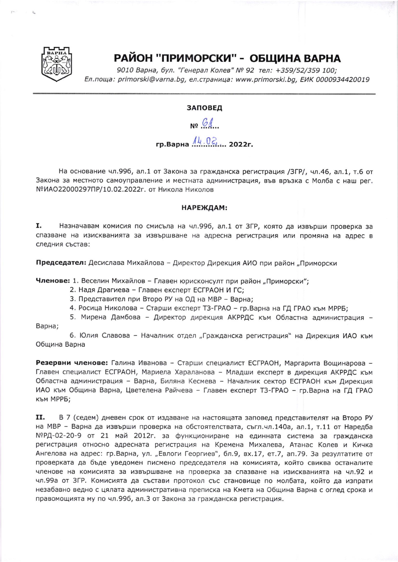

## РАЙОН "ПРИМОРСКИ" - ОБЩИНА ВАРНА

9010 Варна, бул. "Генерал Колев" № 92 тел: +359/52/359 100; Ел. поща: primorski@varna.bg, ел. страница: www.primorski.bg, ЕИК 0000934420019

## ЗАПОВЕД

NO GA

## гр. Варна  $\frac{\hbar k}{2}$ . 2022г.

На основание чл.996, ал.1 от Закона за гражданска регистрация /ЗГР/, чл.46, ал.1, т.6 от Закона за местното самоуправление и местната администрация, във връзка с Молба с наш рег. №ИАО22000297ПР/10.02.2022г. от Никола Николов

## НАРЕЖДАМ:

I. Назначавам комисия по смисъла на чл.996, ал.1 от ЗГР, която да извърши проверка за спазване на изискванията за извършване на адресна регистрация или промяна на адрес в следния състав:

Председател: Десислава Михайлова - Директор Дирекция АИО при район "Приморски

Членове: 1. Веселин Михайлов - Главен юрисконсулт при район "Приморски";

- 2. Надя Драгиева Главен експерт ЕСГРАОН И ГС;
- 3. Представител при Второ РУ на ОД на МВР Варна;
- 4. Росица Николова Старши експерт ТЗ-ГРАО гр. Варна на ГД ГРАО към МРРБ;

5. Мирена Дамбова - Директор дирекция АКРРДС към Областна администрация -

Варна;

6. Юлия Славова - Началник отдел "Гражданска регистрация" на Дирекция ИАО към Община Варна

Резервни членове: Галина Иванова - Старши специалист ЕСГРАОН, Маргарита Вощинарова -Главен специалист ЕСГРАОН, Мариела Хараланова - Младши експерт в дирекция АКРРДС към Областна администрация - Варна, Биляна Кесмева - Началник сектор ЕСГРАОН към Дирекция ИАО към Община Варна, Цветелена Райчева - Главен експерт ТЗ-ГРАО - гр. Варна на ГД ГРАО към МРРБ;

11. В 7 (седем) дневен срок от издаване на настоящата заповед представителят на Второ РУ на МВР - Варна да извърши проверка на обстоятелствата, съгл.чл.140а, ал.1, т.11 от Наредба №РД-02-20-9 от 21 май 2012г. за функциониране на единната система за гражданска регистрация относно адресната регистрация на Кремена Михалева, Атанас Колев и Кичка Ангелова на адрес: гр.Варна, ул. "Евлоги Георгиев", бл.9, вх.17, ет.7, ап.79. За резултатите от проверката да бъде уведомен писмено председателя на комисията, който свиква останалите членове на комисията за извършване на проверка за спазване на изискванията на чл.92 и чл.99а от ЗГР. Комисията да състави протокол със становище по молбата, който да изпрати незабавно ведно с цялата административна преписка на Кмета на Община Варна с оглед срока и правомощията му по чл.996, ал.3 от Закона за гражданска регистрация.